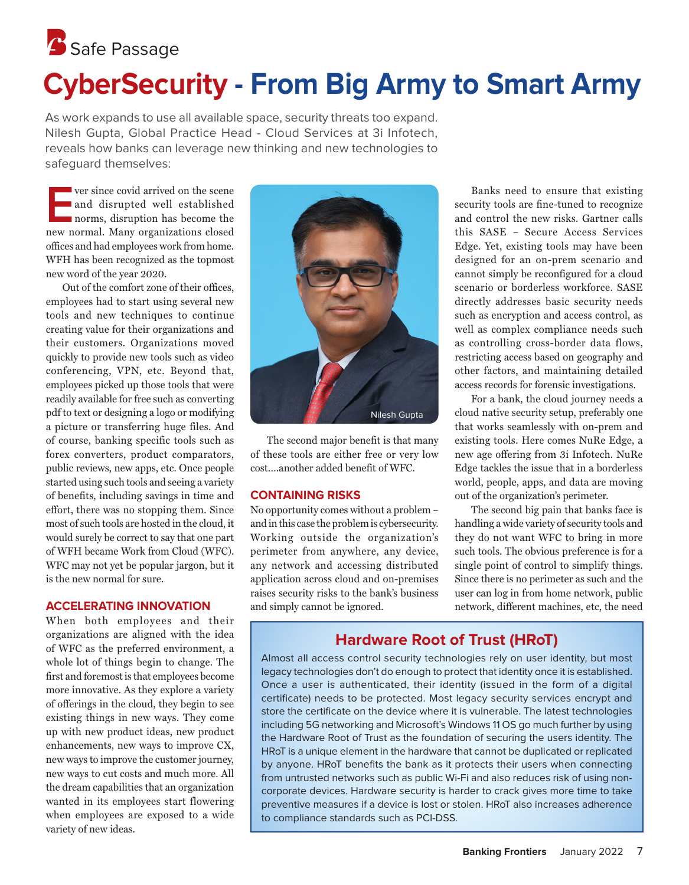# **S** Safe Passage **CyberSecurity - From Big Army to Smart Army**

As work expands to use all available space, security threats too expand. Nilesh Gupta, Global Practice Head - Cloud Services at 3i Infotech, reveals how banks can leverage new thinking and new technologies to safeguard themselves:

**EVERT SHOW SERVE SERVE STARK SERVE AND SERVE SERVE SERVE SERVE AND SERVE SERVE SERVE SERVE SERVE SERVE SERVE SERVE SERVE SERVE SERVE SERVE SERVE SERVE SERVE SERVE SERVE SERVE SERVE SERVE SERVE SERVE SERVE SERVE SERVE SERV** and disrupted well established norms, disruption has become the new normal. Many organizations closed offices and had employees work from home. WFH has been recognized as the topmost new word of the year 2020.

Out of the comfort zone of their offices, employees had to start using several new tools and new techniques to continue creating value for their organizations and their customers. Organizations moved quickly to provide new tools such as video conferencing, VPN, etc. Beyond that, employees picked up those tools that were readily available for free such as converting pdf to text or designing a logo or modifying a picture or transferring huge files. And of course, banking specific tools such as forex converters, product comparators, public reviews, new apps, etc. Once people started using such tools and seeing a variety of benefits, including savings in time and effort, there was no stopping them. Since most of such tools are hosted in the cloud, it would surely be correct to say that one part of WFH became Work from Cloud (WFC). WFC may not yet be popular jargon, but it is the new normal for sure.

## **ACCELERATING INNOVATION**

When both employees and their organizations are aligned with the idea of WFC as the preferred environment, a whole lot of things begin to change. The first and foremost is that employees become more innovative. As they explore a variety of offerings in the cloud, they begin to see existing things in new ways. They come up with new product ideas, new product enhancements, new ways to improve CX, new ways to improve the customer journey, new ways to cut costs and much more. All the dream capabilities that an organization wanted in its employees start flowering when employees are exposed to a wide variety of new ideas.



The second major benefit is that many of these tools are either free or very low cost – another added benefit of WFC.

#### **CONTAINING RISKS**

No opportunity comes without a problem – and in this case the problem is cybersecurity. Working outside the organization's perimeter from anywhere, any device, any network and accessing distributed application across cloud and on-premises raises security risks to the bank's business and simply cannot be ignored.

Banks need to ensure that existing security tools are fine-tuned to recognize and control the new risks. Gartner calls this SASE – Secure Access Services Edge. Yet, existing tools may have been designed for an on-prem scenario and cannot simply be reconfigured for a cloud scenario or borderless workforce. SASE directly addresses basic security needs such as encryption and access control, as well as complex compliance needs such as controlling cross-border data flows, restricting access based on geography and other factors, and maintaining detailed access records for forensic investigations.

For a bank, the cloud journey needs a cloud native security setup, preferably one that works seamlessly with on-prem and existing tools. Here comes NuRe Edge, a new age offering from 3i Infotech. NuRe Edge tackles the issue that in a borderless world, people, apps, and data are moving out of the organization's perimeter.

The second big pain that banks face is handling a wide variety of security tools and they do not want WFC to bring in more such tools. The obvious preference is for a single point of control to simplify things. Since there is no perimeter as such and the user can log in from home network, public network, different machines, etc, the need

# **Hardware Root of Trust (HRoT)**

Almost all access control security technologies rely on user identity, but most legacy technologies don't do enough to protect that identity once it is established. Once a user is authenticated, their identity (issued in the form of a digital certificate) needs to be protected. Most legacy security services encrypt and store the certificate on the device where it is vulnerable. The latest technologies including 5G networking and Microsoft's Windows 11 OS go much further by using the Hardware Root of Trust as the foundation of securing the users identity. The HRoT is a unique element in the hardware that cannot be duplicated or replicated by anyone. HRoT benefits the bank as it protects their users when connecting from untrusted networks such as public Wi-Fi and also reduces risk of using noncorporate devices. Hardware security is harder to crack gives more time to take preventive measures if a device is lost or stolen. HRoT also increases adherence to compliance standards such as PCI-DSS.